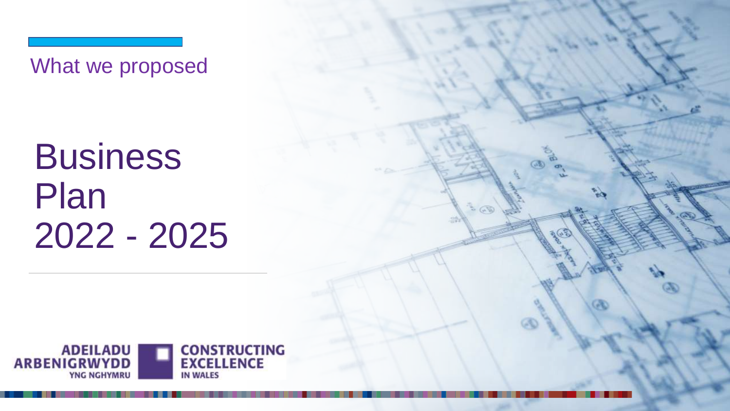What we proposed

Business Plan 2022 - 2025

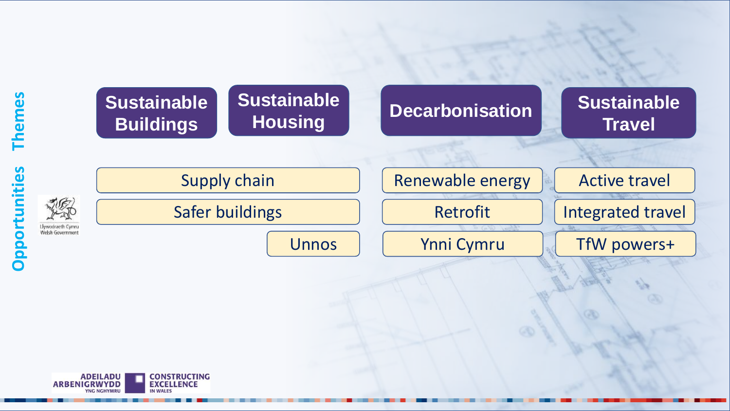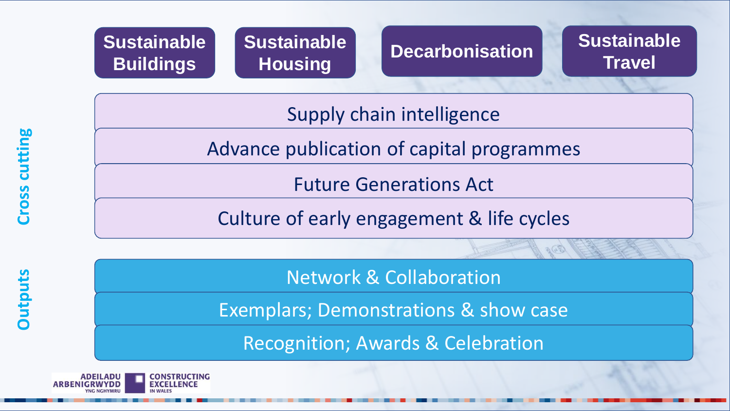



# **Travel**

Supply chain intelligence

Advance publication of capital programmes

Future Generations Act

Culture of early engagement & life cycles

Network & Collaboration

Exemplars; Demonstrations & show case

Recognition; Awards & Celebration



**Outputs**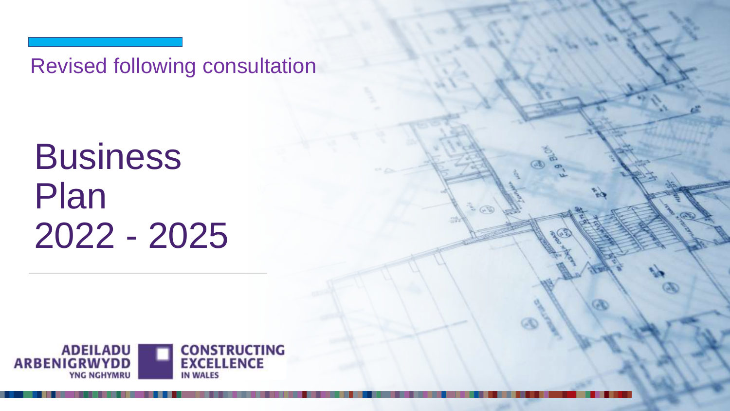Revised following consultation

Business Plan 2022 - 2025

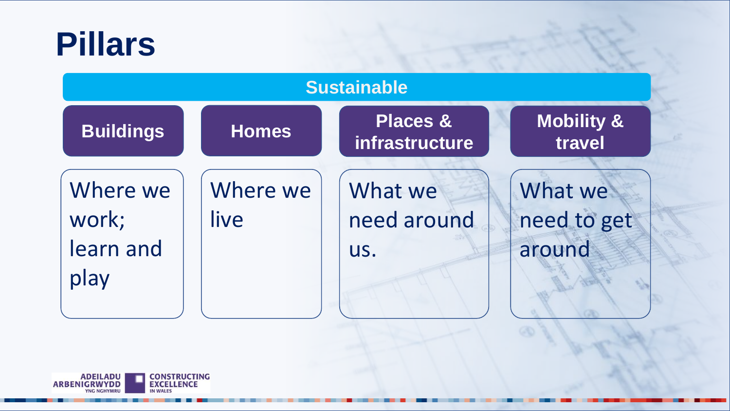## **Pillars**

| <b>Sustainable</b>                     |                  |                                       |                                  |
|----------------------------------------|------------------|---------------------------------------|----------------------------------|
| <b>Buildings</b>                       | <b>Homes</b>     | <b>Places &amp;</b><br>infrastructure | Mobility &<br>travel             |
| Where we<br>work;<br>learn and<br>play | Where we<br>live | What we<br>need around<br>US.         | What we<br>need to get<br>around |

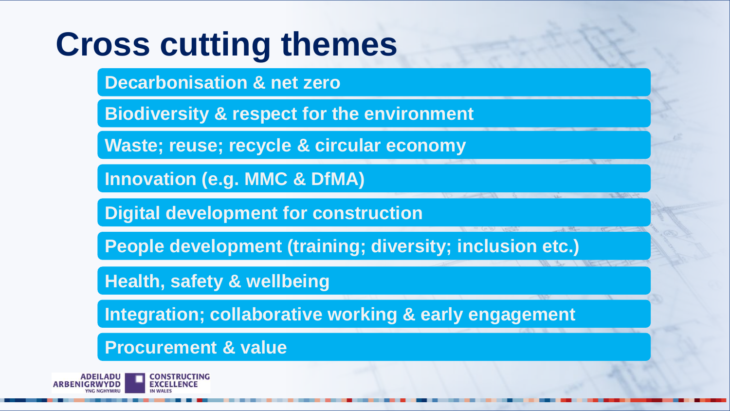# **Cross cutting themes**

**Decarbonisation & net zero**

**Biodiversity & respect for the environment**

**Waste; reuse; recycle & circular economy**

**Innovation (e.g. MMC & DfMA)**

**Digital development for construction**

**People development (training; diversity; inclusion etc.)**

**Health, safety & wellbeing**

**Integration; collaborative working & early engagement**

**Procurement & value**

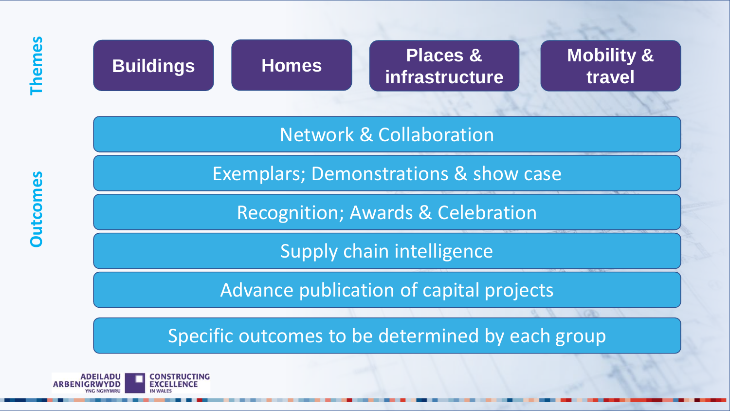### **Buildings Places & infrastructure travel Homes**

**Mobility &** 

Network & Collaboration

Exemplars; Demonstrations & show case

Recognition; Awards & Celebration

Supply chain intelligence

Advance publication of capital projects

Specific outcomes to be determined by each group

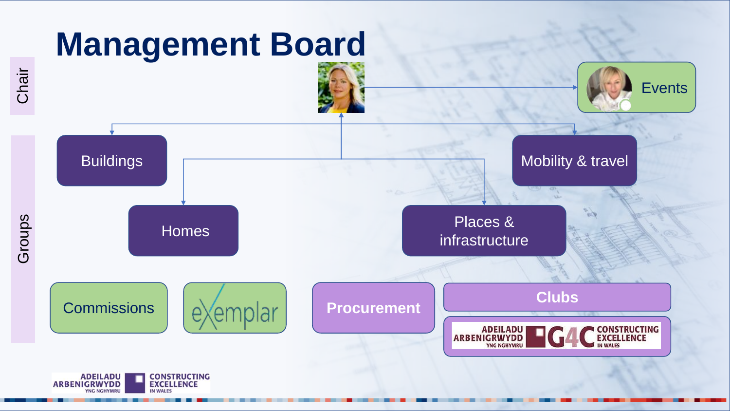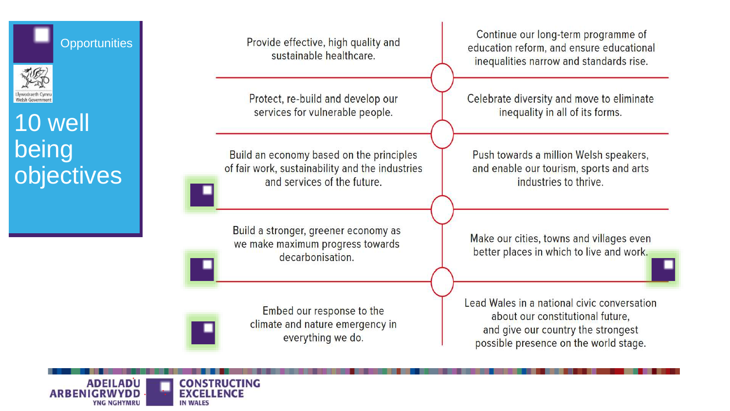

Welsh Government 10 well being objectives Provide effective, high quality and sustainable healthcare.

Protect, re-build and develop our services for vulnerable people.

Build an economy based on the principles of fair work, sustainability and the industries and services of the future.

Build a stronger, greener economy as we make maximum progress towards decarbonisation.

> Embed our response to the climate and nature emergency in everything we do.

Continue our long-term programme of education reform, and ensure educational inequalities narrow and standards rise.

Celebrate diversity and move to eliminate inequality in all of its forms.

Push towards a million Welsh speakers, and enable our tourism, sports and arts industries to thrive.

Make our cities, towns and villages even better places in which to live and work.

Lead Wales in a national civic conversation about our constitutional future. and give our country the strongest possible presence on the world stage.